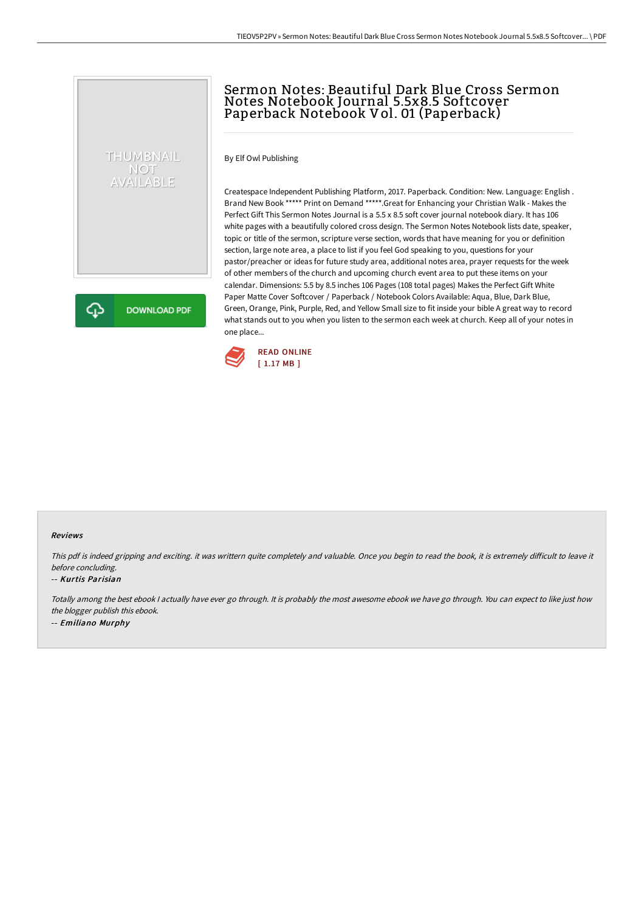# Sermon Notes: Beautiful Dark Blue Cross Sermon Notes Notebook Journal 5.5x8.5 Softcover Paperback Notebook Vol. 01 (Paperback)

By Elf Owl Publishing

THUMBNAIL NOT<br>AVAILABLE

**DOWNLOAD PDF** 

Createspace Independent Publishing Platform, 2017. Paperback. Condition: New. Language: English . Brand New Book \*\*\*\*\* Print on Demand \*\*\*\*\*.Great for Enhancing your Christian Walk - Makes the Perfect Gift This Sermon Notes Journal is a 5.5 x 8.5 soft cover journal notebook diary. It has 106 white pages with a beautifully colored cross design. The Sermon Notes Notebook lists date, speaker, topic or title of the sermon, scripture verse section, words that have meaning for you or definition section, large note area, a place to list if you feel God speaking to you, questions for your pastor/preacher or ideas for future study area, additional notes area, prayer requests for the week of other members of the church and upcoming church event area to put these items on your calendar. Dimensions: 5.5 by 8.5 inches 106 Pages (108 total pages) Makes the Perfect Gift White Paper Matte Cover Softcover / Paperback / Notebook Colors Available: Aqua, Blue, Dark Blue, Green, Orange, Pink, Purple, Red, and Yellow Small size to fit inside your bible A great way to record what stands out to you when you listen to the sermon each week at church. Keep all of your notes in one place...



#### Reviews

This pdf is indeed gripping and exciting, it was writtern quite completely and valuable. Once you begin to read the book, it is extremely difficult to leave it before concluding.

#### -- Kurtis Parisian

⊕

Totally among the best ebook I actually have ever go through. It is probably the most awesome ebook we have go through. You can expect to like just how the blogger publish this ebook. -- Emiliano Murphy